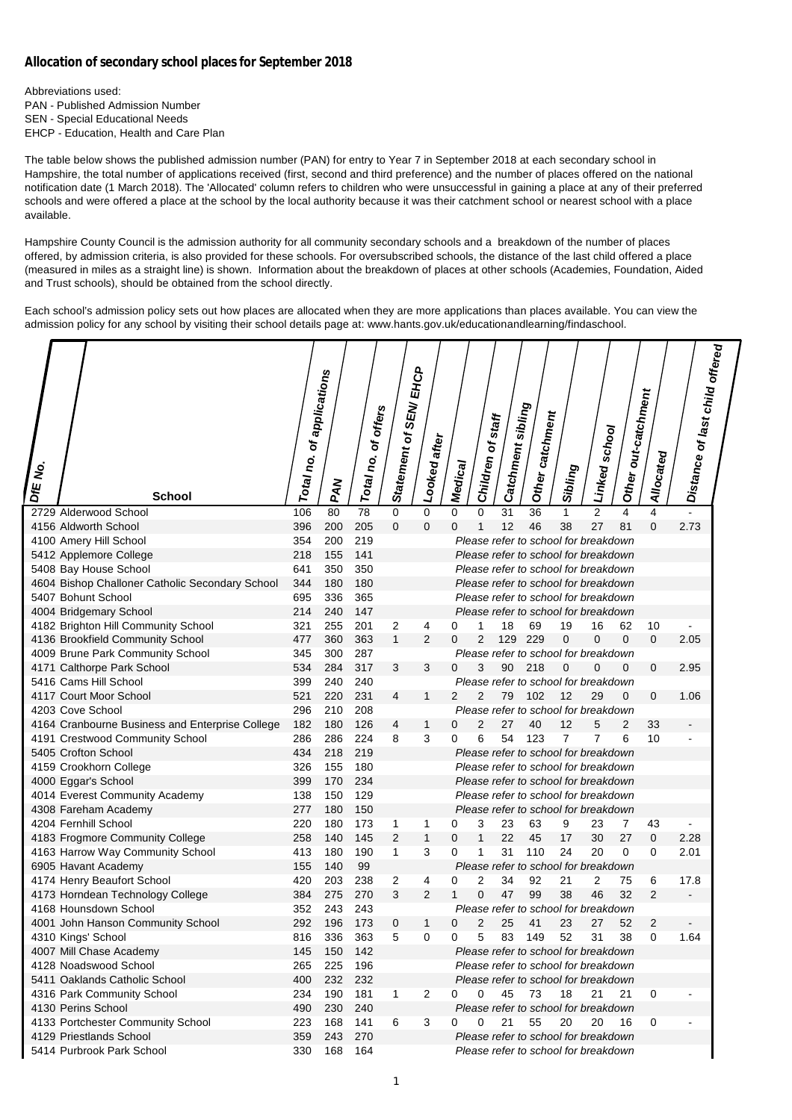## **Allocation of secondary school places for September 2018**

Abbreviations used: PAN - Published Admission Number SEN - Special Educational Needs EHCP - Education, Health and Care Plan

The table below shows the published admission number (PAN) for entry to Year 7 in September 2018 at each secondary school in Hampshire, the total number of applications received (first, second and third preference) and the number of places offered on the national notification date (1 March 2018). The 'Allocated' column refers to children who were unsuccessful in gaining a place at any of their preferred schools and were offered a place at the school by the local authority because it was their catchment school or nearest school with a place available.

Hampshire County Council is the admission authority for all community secondary schools and a breakdown of the number of places offered, by admission criteria, is also provided for these schools. For oversubscribed schools, the distance of the last child offered a place (measured in miles as a straight line) is shown. Information about the breakdown of places at other schools (Academies, Foundation, Aided and Trust schools), should be obtained from the school directly.

Each school's admission policy sets out how places are allocated when they are more applications than places available. You can view the admission policy for any school by visiting their school details page at: [www.hants.gov.uk/educationandlearning/findaschool.](http://www.hants.gov.uk/educationandlearning/findaschool.) 

| فع<br>م<br><b>DfE</b> | <b>School</b>                                       | Total no. of applications | PAN       | Total no. of offers | EHCP<br><b>Statement of SEN/</b> | Looked after   | Children of staff<br><b>Medical</b>                                          | Catchment sibling     | Other catchment       | Sibling        | Linked school        | Other out-catchment | Allocated      | Distance of last child offered |  |  |
|-----------------------|-----------------------------------------------------|---------------------------|-----------|---------------------|----------------------------------|----------------|------------------------------------------------------------------------------|-----------------------|-----------------------|----------------|----------------------|---------------------|----------------|--------------------------------|--|--|
|                       | 2729 Alderwood School                               | 106<br>396                | 80<br>200 | 78<br>205           | 0<br>$\mathbf 0$                 | $\mathbf 0$    | 0<br>0<br>$\mathbf{1}$                                                       | $\overline{31}$<br>12 | $\overline{36}$<br>46 | 1<br>38        | $\overline{2}$<br>27 | 4<br>81             | 4              | 2.73                           |  |  |
|                       | 4156 Aldworth School                                | 354                       | 200       | 219                 |                                  | $\mathbf 0$    | 0<br>Please refer to school for breakdown                                    |                       |                       |                |                      |                     | 0              |                                |  |  |
|                       | 4100 Amery Hill School                              | 218                       | 155       | 141                 |                                  |                | Please refer to school for breakdown                                         |                       |                       |                |                      |                     |                |                                |  |  |
|                       | 5412 Applemore College<br>5408 Bay House School     | 641                       | 350       | 350                 |                                  |                | Please refer to school for breakdown                                         |                       |                       |                |                      |                     |                |                                |  |  |
|                       | 4604 Bishop Challoner Catholic Secondary School     | 344                       | 180       | 180                 |                                  |                | Please refer to school for breakdown                                         |                       |                       |                |                      |                     |                |                                |  |  |
|                       | 5407 Bohunt School                                  | 695                       | 336       | 365                 |                                  |                | Please refer to school for breakdown                                         |                       |                       |                |                      |                     |                |                                |  |  |
|                       | 4004 Bridgemary School                              | 214                       | 240       | 147                 |                                  |                | Please refer to school for breakdown                                         |                       |                       |                |                      |                     |                |                                |  |  |
|                       | 4182 Brighton Hill Community School                 | 321                       | 255       | 201                 | 2                                | 4              | 0<br>1                                                                       | 18                    | 69                    | 19             | 16                   | 62                  | 10             |                                |  |  |
|                       | 4136 Brookfield Community School                    | 477                       | 360       | 363                 | $\mathbf{1}$                     | 2              | $\overline{2}$<br>$\Omega$                                                   | 129                   | 229                   | $\Omega$       | $\mathbf 0$          | $\mathbf 0$         | 0              | 2.05                           |  |  |
|                       | 4009 Brune Park Community School                    | 345                       | 300       | 287                 |                                  |                | Please refer to school for breakdown                                         |                       |                       |                |                      |                     |                |                                |  |  |
|                       |                                                     | 534                       | 284       | 317                 | 3                                | 3              | 3<br>0                                                                       | 90                    | 218                   | $\Omega$       | 0                    | $\mathbf 0$         | 0              | 2.95                           |  |  |
|                       | 4171 Calthorpe Park School<br>5416 Cams Hill School | 399                       | 240       | 240                 |                                  |                | Please refer to school for breakdown                                         |                       |                       |                |                      |                     |                |                                |  |  |
|                       | 4117 Court Moor School                              | 521                       | 220       | 231                 | 4                                | 1              | $\overline{2}$<br>$\overline{2}$                                             | 79                    | 102                   | 12             | 29                   | $\mathbf 0$         | 0              | 1.06                           |  |  |
|                       | 4203 Cove School                                    | 296                       | 210       | 208                 |                                  |                | Please refer to school for breakdown                                         |                       |                       |                |                      |                     |                |                                |  |  |
|                       | 4164 Cranbourne Business and Enterprise College     | 182                       | 180       | 126                 | 4                                | 1              | $\overline{2}$<br>0                                                          | 27                    | 40                    | 12             | 5                    | $\overline{2}$      | 33             |                                |  |  |
|                       | 4191 Crestwood Community School                     | 286                       | 286       | 224                 | 8                                | 3              | 6<br>0                                                                       | 54                    | 123                   | $\overline{7}$ | $\overline{7}$       | 6                   | 10             | $\blacksquare$                 |  |  |
|                       | 5405 Crofton School                                 | 434                       | 218       | 219                 |                                  |                |                                                                              |                       |                       |                |                      |                     |                |                                |  |  |
|                       | 4159 Crookhorn College                              | 326                       | 155       | 180                 |                                  |                | Please refer to school for breakdown<br>Please refer to school for breakdown |                       |                       |                |                      |                     |                |                                |  |  |
|                       | 4000 Eggar's School                                 | 399                       | 170       | 234                 |                                  |                | Please refer to school for breakdown                                         |                       |                       |                |                      |                     |                |                                |  |  |
|                       | 4014 Everest Community Academy                      | 138                       | 150       | 129                 |                                  |                | Please refer to school for breakdown                                         |                       |                       |                |                      |                     |                |                                |  |  |
|                       | 4308 Fareham Academy                                | 277                       | 180       | 150                 |                                  |                | Please refer to school for breakdown                                         |                       |                       |                |                      |                     |                |                                |  |  |
|                       | 4204 Fernhill School                                | 220                       | 180       | 173                 | 1                                | 1              | 3<br>0                                                                       | 23                    | 63                    | 9              | 23                   | 7                   | 43             |                                |  |  |
|                       | 4183 Frogmore Community College                     | 258                       | 140       | 145                 | $\overline{2}$                   | $\mathbf{1}$   | $\mathbf{1}$<br>0                                                            | 22                    | 45                    | 17             | 30                   | 27                  | 0              | 2.28                           |  |  |
|                       | 4163 Harrow Way Community School                    | 413                       | 180       | 190                 | 1                                | 3              | 0<br>1                                                                       | 31                    | 110                   | 24             | 20                   | 0                   | 0              | 2.01                           |  |  |
|                       | 6905 Havant Academy                                 | 155                       | 140       | 99                  |                                  |                | Please refer to school for breakdown                                         |                       |                       |                |                      |                     |                |                                |  |  |
|                       | 4174 Henry Beaufort School                          | 420                       | 203       | 238                 | 2                                | 4              | $\overline{2}$<br>0                                                          | 34                    | 92                    | 21             | $\overline{2}$       | 75                  | 6              | 17.8                           |  |  |
|                       | 4173 Horndean Technology College                    | 384                       | 275       | 270                 | 3                                | 2              | $\mathbf{1}$<br>$\overline{0}$                                               | 47                    | 99                    | 38             | 46                   | 32                  | $\overline{c}$ |                                |  |  |
|                       | 4168 Hounsdown School                               | 352                       | 243       | 243                 |                                  |                | Please refer to school for breakdown                                         |                       |                       |                |                      |                     |                |                                |  |  |
|                       | 4001 John Hanson Community School                   | 292                       | 196       | 173                 | 0                                | 1              | 2<br>0                                                                       | 25                    | 41                    | 23             | 27                   | 52                  | 2              |                                |  |  |
|                       | 4310 Kings' School                                  | 816                       | 336       | 363                 | 5                                | 0              | 0<br>5                                                                       | 83                    | - 149                 | 52             | -31                  | 38                  | 0              | 1.64                           |  |  |
|                       | 4007 Mill Chase Academy                             | 145                       | 150       | 142                 |                                  |                | Please refer to school for breakdown                                         |                       |                       |                |                      |                     |                |                                |  |  |
|                       | 4128 Noadswood School                               | 265                       | 225       | 196                 |                                  |                | Please refer to school for breakdown                                         |                       |                       |                |                      |                     |                |                                |  |  |
|                       | 5411 Oaklands Catholic School                       | 400                       | 232       | 232                 |                                  |                | Please refer to school for breakdown                                         |                       |                       |                |                      |                     |                |                                |  |  |
|                       | 4316 Park Community School                          | 234                       | 190       | 181                 | 1                                | $\overline{2}$ | $\mathbf 0$<br>0                                                             | 45                    | 73                    | 18             | 21                   | 21                  | 0              |                                |  |  |
|                       | 4130 Perins School                                  | 490                       | 230       | 240                 |                                  |                | Please refer to school for breakdown                                         |                       |                       |                |                      |                     |                |                                |  |  |
|                       | 4133 Portchester Community School                   | 223                       | 168       | 141                 | 6                                | 3              | $\mathbf 0$<br>$\Omega$                                                      | 21                    | 55                    | 20             | 20                   | 16                  | 0              |                                |  |  |
|                       | 4129 Priestlands School                             | 359                       | 243       | 270                 |                                  |                | Please refer to school for breakdown                                         |                       |                       |                |                      |                     |                |                                |  |  |
|                       | 5414 Purbrook Park School                           | 330                       | 168       | 164                 |                                  |                | Please refer to school for breakdown                                         |                       |                       |                |                      |                     |                |                                |  |  |